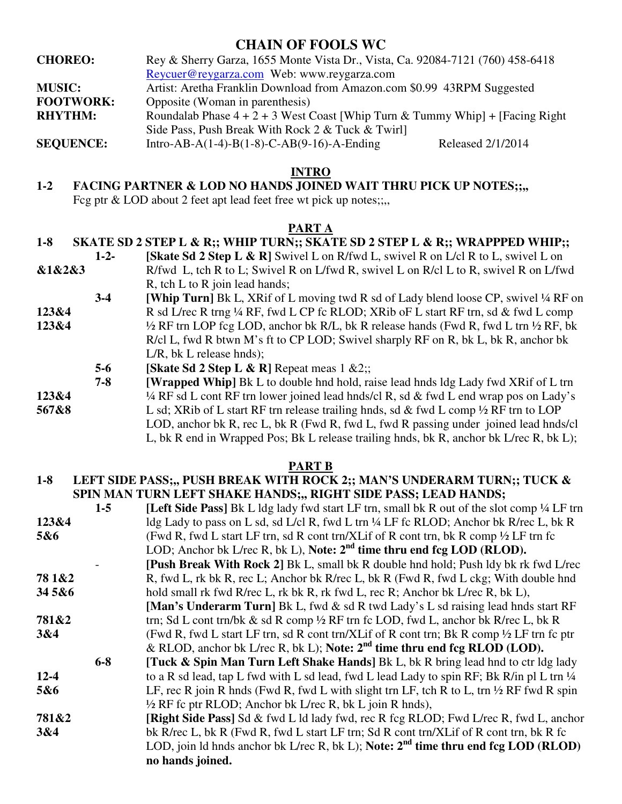# **CHAIN OF FOOLS WC**

| <b>CHOREO:</b>   | Rey & Sherry Garza, 1655 Monte Vista Dr., Vista, Ca. 92084-7121 (760) 458-6418   |                   |
|------------------|----------------------------------------------------------------------------------|-------------------|
|                  | Reycuer@reygarza.com Web: www.reygarza.com                                       |                   |
| <b>MUSIC:</b>    | Artist: Aretha Franklin Download from Amazon.com \$0.99 43RPM Suggested          |                   |
| <b>FOOTWORK:</b> | Opposite (Woman in parenthesis)                                                  |                   |
| <b>RHYTHM:</b>   | Roundalab Phase $4 + 2 + 3$ West Coast [Whip Turn & Tummy Whip] + [Facing Right] |                   |
|                  | Side Pass, Push Break With Rock 2 & Tuck & Twirl                                 |                   |
| <b>SEQUENCE:</b> | Intro-AB-A(1-4)-B(1-8)-C-AB(9-16)-A-Ending                                       | Released 2/1/2014 |

## **INTRO**

# **1-2 FACING PARTNER & LOD NO HANDS JOINED WAIT THRU PICK UP NOTES;;,,**

Fcg ptr & LOD about 2 feet apt lead feet free wt pick up notes;;,,

## **PART A**

#### **1-8 SKATE SD 2 STEP L & R;; WHIP TURN;; SKATE SD 2 STEP L & R;; WRAPPPED WHIP;;**

- **1-2- [Skate Sd 2 Step L & R]** Swivel L on R/fwd L, swivel R on L/cl R to L, swivel L on **&1&2&3** R/fwd L, tch R to L; Swivel R on L/fwd R, swivel L on R/cl L to R, swivel R on L/fwd R, tch L to R join lead hands;
- **3-4 [Whip Turn]** Bk L, XRif of L moving twd R sd of Lady blend loose CP, swivel ¼ RF on **123&4** R sd L/rec R trng ¼ RF, fwd L CP fc RLOD; XRib oF L start RF trn, sd & fwd L comp **123&4** ½ RF trn LOP fcg LOD, anchor bk R/L, bk R release hands (Fwd R, fwd L trn ½ RF, bk R/cl L, fwd R btwn M's ft to CP LOD; Swivel sharply RF on R, bk L, bk R, anchor bk L/R, bk L release hnds);
	- **5-6** [Skate Sd 2 Step L & R] Repeat meas 1 &2;;

 **7-8 [Wrapped Whip]** Bk L to double hnd hold, raise lead hnds ldg Lady fwd XRif of L trn

- **123&4** ¼ RF sd L cont RF trn lower joined lead hnds/cl R, sd & fwd L end wrap pos on Lady's
- **567&8** L sd; XRib of L start RF trn release trailing hnds, sd & fwd L comp ½ RF trn to LOP LOD, anchor bk R, rec L, bk R (Fwd R, fwd L, fwd R passing under joined lead hnds/cl L, bk R end in Wrapped Pos; Bk L release trailing hnds, bk R, anchor bk L/rec R, bk L);

#### **PART B**

#### **1-8 LEFT SIDE PASS;,, PUSH BREAK WITH ROCK 2;; MAN'S UNDERARM TURN;; TUCK & SPIN MAN TURN LEFT SHAKE HANDS;,, RIGHT SIDE PASS; LEAD HANDS;**

|          | $1-5$   | <b>[Left Side Pass]</b> Bk L ldg lady fwd start LF trn, small bk R out of the slot comp 1/4 LF trn  |
|----------|---------|-----------------------------------------------------------------------------------------------------|
| 123&4    |         | ldg Lady to pass on L sd, sd L/cl R, fwd L trn ¼ LF fc RLOD; Anchor bk R/rec L, bk R                |
| 5&6      |         | (Fwd R, fwd L start LF trn, sd R cont trn/XLif of R cont trn, bk R comp $\frac{1}{2}$ LF trn fc     |
|          |         | LOD; Anchor bk L/rec R, bk L), Note: $2nd$ time thru end fcg LOD (RLOD).                            |
|          |         | [Push Break With Rock 2] Bk L, small bk R double hnd hold; Push ldy bk rk fwd L/rec                 |
| 78 1 & 2 |         | R, fwd L, rk bk R, rec L; Anchor bk R/rec L, bk R (Fwd R, fwd L ckg; With double hnd                |
| 345&6    |         | hold small rk fwd R/rec L, rk bk R, rk fwd L, rec R; Anchor bk L/rec R, bk L),                      |
|          |         | [Man's Underarm Turn] Bk L, fwd & sd R twd Lady's L sd raising lead hnds start RF                   |
| 781&2    |         | trn; Sd L cont trn/bk & sd R comp $\frac{1}{2}$ RF trn fc LOD, fwd L, anchor bk R/rec L, bk R       |
| 3&4      |         | (Fwd R, fwd L start LF trn, sd R cont trn/XLif of R cont trn; Bk R comp 1/2 LF trn fc ptr           |
|          |         | & RLOD, anchor bk L/rec R, bk L); Note: $2nd$ time thru end fcg RLOD (LOD).                         |
|          | $6 - 8$ | <b>Tuck &amp; Spin Man Turn Left Shake Hands</b> Bk L, bk R bring lead hnd to ctr ldg lady          |
| $12 - 4$ |         | to a R sd lead, tap L fwd with L sd lead, fwd L lead Lady to spin RF; Bk R/in pl L trn 1/4          |
| 5&6      |         | LF, rec R join R hnds (Fwd R, fwd L with slight trn LF, tch R to L, trn $\frac{1}{2}$ RF fwd R spin |
|          |         | $\frac{1}{2}$ RF fc ptr RLOD; Anchor bk L/rec R, bk L join R hnds),                                 |
| 781&2    |         | [Right Side Pass] Sd & fwd L ld lady fwd, rec R fcg RLOD; Fwd L/rec R, fwd L, anchor                |
| 3&4      |         | bk R/rec L, bk R (Fwd R, fwd L start LF trn; Sd R cont trn/XLif of R cont trn, bk R fc              |
|          |         | LOD, join ld hnds anchor bk L/rec R, bk L); Note: $2nd$ time thru end fcg LOD (RLOD)                |
|          |         | no hands joined.                                                                                    |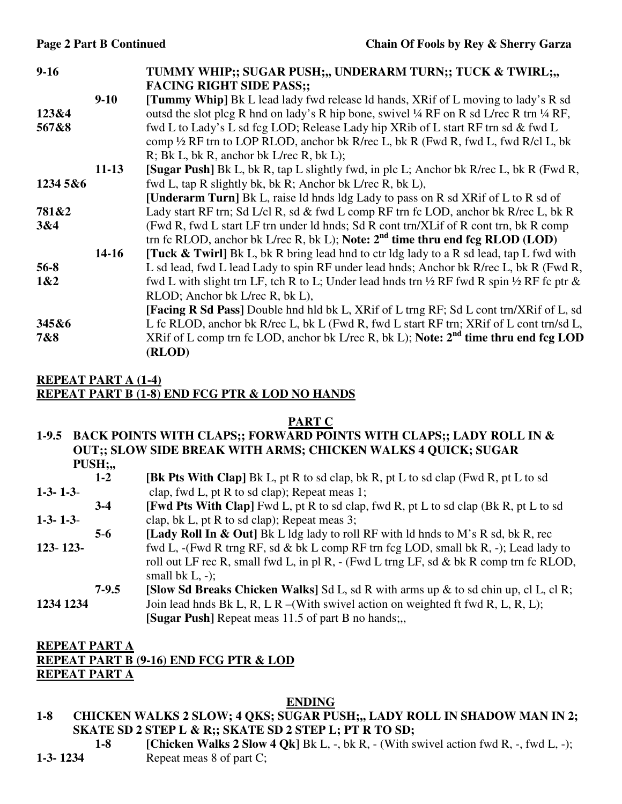| $9 - 16$ |           | TUMMY WHIP;; SUGAR PUSH;,, UNDERARM TURN;; TUCK & TWIRL;,,                                                      |
|----------|-----------|-----------------------------------------------------------------------------------------------------------------|
|          |           | <b>FACING RIGHT SIDE PASS;;</b>                                                                                 |
|          | $9-10$    | <b>[Tummy Whip]</b> Bk L lead lady fwd release ld hands, XRif of L moving to lady's R sd                        |
| 123&4    |           | outsd the slot plcg R hnd on lady's R hip bone, swivel 1/4 RF on R sd L/rec R trn 1/4 RF,                       |
| 567&8    |           | fwd L to Lady's L sd fcg LOD; Release Lady hip XRib of L start RF trn sd & fwd L                                |
|          |           | comp 1/2 RF trn to LOP RLOD, anchor bk R/rec L, bk R (Fwd R, fwd L, fwd R/cl L, bk                              |
|          |           | R; Bk L, bk R, anchor bk L/rec R, bk L);                                                                        |
|          | $11 - 13$ | [Sugar Push] Bk L, bk R, tap L slightly fwd, in plc L; Anchor bk R/rec L, bk R (Fwd R,                          |
| 1234 5&6 |           | fwd L, tap R slightly bk, bk R; Anchor bk L/rec R, bk L),                                                       |
|          |           | [Underarm Turn] Bk L, raise ld hnds ldg Lady to pass on R sd XRif of L to R sd of                               |
| 781&2    |           | Lady start RF trn; Sd L/cl R, sd & fwd L comp RF trn fc LOD, anchor bk R/rec L, bk R                            |
| 3&4      |           | (Fwd R, fwd L start LF trn under ld hnds; Sd R cont trn/XLif of R cont trn, bk R comp                           |
|          |           | trn fc RLOD, anchor bk L/rec R, bk L); Note: $2nd$ time thru end fcg RLOD (LOD)                                 |
|          | $14 - 16$ | <b>[Tuck &amp; Twirl]</b> Bk L, bk R bring lead hnd to ctr ldg lady to a R sd lead, tap L fwd with              |
| $56 - 8$ |           | L sd lead, fwd L lead Lady to spin RF under lead hnds; Anchor bk R/rec L, bk R (Fwd R,                          |
| 1&2      |           | fwd L with slight trn LF, tch R to L; Under lead hnds trn $\frac{1}{2}$ RF fwd R spin $\frac{1}{2}$ RF fc ptr & |
|          |           | RLOD; Anchor bk L/rec R, bk L),                                                                                 |
|          |           | <b>[Facing R Sd Pass]</b> Double hnd hld bk L, XRif of L trng RF; Sd L cont trn/XRif of L, sd                   |
| 345&6    |           | L fc RLOD, anchor bk R/rec L, bk L (Fwd R, fwd L start RF trn; XRif of L cont trn/sd L,                         |
| 7&8      |           | XRif of L comp trn fc LOD, anchor bk L/rec R, bk L); Note: $2nd$ time thru end fcg LOD                          |
|          |           | (RLOD)                                                                                                          |

## **REPEAT PART A (1-4) REPEAT PART B (1-8) END FCG PTR & LOD NO HANDS**

#### **PART C**

#### **1-9.5 BACK POINTS WITH CLAPS;; FORWARD POINTS WITH CLAPS;; LADY ROLL IN & OUT;; SLOW SIDE BREAK WITH ARMS; CHICKEN WALKS 4 QUICK; SUGAR PUSH;,,**

- **1-2 [Bk Pts With Clap]** Bk L, pt R to sd clap, bk R, pt L to sd clap (Fwd R, pt L to sd **1-3- 1-3**- clap, fwd L, pt R to sd clap); Repeat meas 1;
- **3-4** [Fwd Pts With Clap] Fwd L, pt R to sd clap, fwd R, pt L to sd clap (Bk R, pt L to sd **1-3- 1-3**- clap, bk L, pt R to sd clap); Repeat meas 3;
- **5**-**6 [Lady Roll In & Out]** Bk L ldg lady to roll RF with ld hnds to M's R sd, bk R, rec
- **123 123-** fwd L, -(Fwd R trng RF, sd & bk L comp RF trn fcg LOD, small bk R, -); Lead lady to roll out LF rec R, small fwd L, in pl R, - (Fwd L trng LF, sd & bk R comp trn fc RLOD, small bk  $L$ ,  $-$ );
- **7-9.5 [Slow Sd Breaks Chicken Walks]** Sd L, sd R with arms up & to sd chin up, cl L, cl R; **1234 1234** Join lead hnds Bk L, R, L R –(With swivel action on weighted ft fwd R, L, R, L); **[Sugar Push]** Repeat meas 11.5 of part B no hands;..

#### **REPEAT PART A REPEAT PART B (9-16) END FCG PTR & LOD REPEAT PART A**

#### **ENDING**

- **1-8 CHICKEN WALKS 2 SLOW; 4 QKS; SUGAR PUSH;,, LADY ROLL IN SHADOW MAN IN 2; SKATE SD 2 STEP L & R;; SKATE SD 2 STEP L; PT R TO SD;** 
	- **1-8 Chicken Walks 2 Slow 4 Ok**] Bk L, -, bk R, (With swivel action fwd R, -, fwd L, -);
- **1-3- 1234 Repeat meas 8 of part C;**